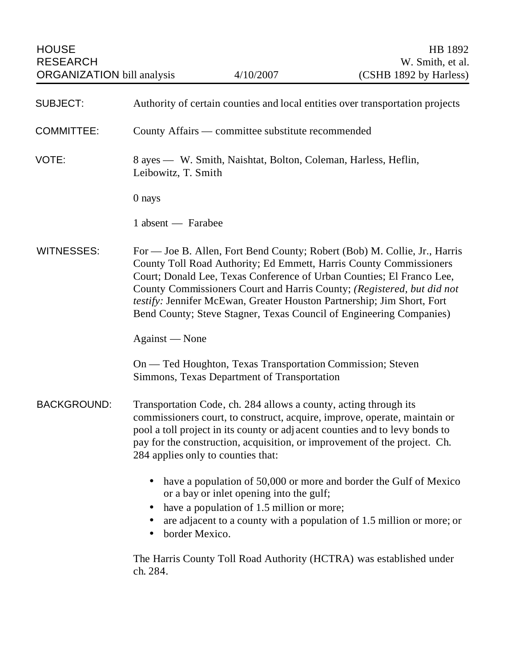| <b>HOUSE</b><br><b>RESEARCH</b><br><b>ORGANIZATION</b> bill analysis |                                                                                                                                                                                                                                                                                                                                                                                                                                                     | 4/10/2007                                                                             | HB 1892<br>W. Smith, et al.<br>(CSHB 1892 by Harless)                                                                                      |  |
|----------------------------------------------------------------------|-----------------------------------------------------------------------------------------------------------------------------------------------------------------------------------------------------------------------------------------------------------------------------------------------------------------------------------------------------------------------------------------------------------------------------------------------------|---------------------------------------------------------------------------------------|--------------------------------------------------------------------------------------------------------------------------------------------|--|
| <b>SUBJECT:</b>                                                      | Authority of certain counties and local entities over transportation projects                                                                                                                                                                                                                                                                                                                                                                       |                                                                                       |                                                                                                                                            |  |
| <b>COMMITTEE:</b>                                                    | County Affairs — committee substitute recommended                                                                                                                                                                                                                                                                                                                                                                                                   |                                                                                       |                                                                                                                                            |  |
| VOTE:                                                                |                                                                                                                                                                                                                                                                                                                                                                                                                                                     | 8 ayes — W. Smith, Naishtat, Bolton, Coleman, Harless, Heflin,<br>Leibowitz, T. Smith |                                                                                                                                            |  |
|                                                                      | 0 nays                                                                                                                                                                                                                                                                                                                                                                                                                                              |                                                                                       |                                                                                                                                            |  |
|                                                                      | 1 absent — Farabee                                                                                                                                                                                                                                                                                                                                                                                                                                  |                                                                                       |                                                                                                                                            |  |
| <b>WITNESSES:</b>                                                    | For — Joe B. Allen, Fort Bend County; Robert (Bob) M. Collie, Jr., Harris<br>County Toll Road Authority; Ed Emmett, Harris County Commissioners<br>Court; Donald Lee, Texas Conference of Urban Counties; El Franco Lee,<br>County Commissioners Court and Harris County; (Registered, but did not<br>testify: Jennifer McEwan, Greater Houston Partnership; Jim Short, Fort<br>Bend County; Steve Stagner, Texas Council of Engineering Companies) |                                                                                       |                                                                                                                                            |  |
|                                                                      | Against — None                                                                                                                                                                                                                                                                                                                                                                                                                                      |                                                                                       |                                                                                                                                            |  |
|                                                                      | On — Ted Houghton, Texas Transportation Commission; Steven<br>Simmons, Texas Department of Transportation                                                                                                                                                                                                                                                                                                                                           |                                                                                       |                                                                                                                                            |  |
| <b>BACKGROUND:</b>                                                   | Transportation Code, ch. 284 allows a county, acting through its<br>commissioners court, to construct, acquire, improve, operate, maintain or<br>pool a toll project in its county or adjacent counties and to levy bonds to<br>pay for the construction, acquisition, or improvement of the project. Ch.<br>284 applies only to counties that:                                                                                                     |                                                                                       |                                                                                                                                            |  |
|                                                                      | border Mexico.<br>$\bullet$                                                                                                                                                                                                                                                                                                                                                                                                                         | or a bay or inlet opening into the gulf;<br>have a population of 1.5 million or more; | have a population of 50,000 or more and border the Gulf of Mexico<br>are adjacent to a county with a population of 1.5 million or more; or |  |
|                                                                      | ch. 284.                                                                                                                                                                                                                                                                                                                                                                                                                                            |                                                                                       | The Harris County Toll Road Authority (HCTRA) was established under                                                                        |  |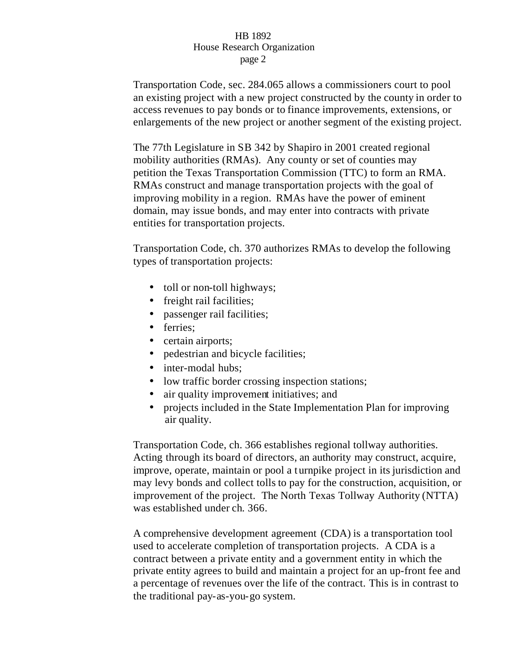Transportation Code, sec. 284.065 allows a commissioners court to pool an existing project with a new project constructed by the county in order to access revenues to pay bonds or to finance improvements, extensions, or enlargements of the new project or another segment of the existing project.

The 77th Legislature in SB 342 by Shapiro in 2001 created regional mobility authorities (RMAs). Any county or set of counties may petition the Texas Transportation Commission (TTC) to form an RMA. RMAs construct and manage transportation projects with the goal of improving mobility in a region. RMAs have the power of eminent domain, may issue bonds, and may enter into contracts with private entities for transportation projects.

Transportation Code, ch. 370 authorizes RMAs to develop the following types of transportation projects:

- toll or non-toll highways;
- freight rail facilities;
- passenger rail facilities;
- ferries;
- certain airports;
- pedestrian and bicycle facilities;
- inter-modal hubs:
- low traffic border crossing inspection stations;
- air quality improvement initiatives; and
- projects included in the State Implementation Plan for improving air quality.

Transportation Code, ch. 366 establishes regional tollway authorities. Acting through its board of directors, an authority may construct, acquire, improve, operate, maintain or pool a turnpike project in its jurisdiction and may levy bonds and collect tolls to pay for the construction, acquisition, or improvement of the project. The North Texas Tollway Authority (NTTA) was established under ch. 366.

A comprehensive development agreement (CDA) is a transportation tool used to accelerate completion of transportation projects. A CDA is a contract between a private entity and a government entity in which the private entity agrees to build and maintain a project for an up-front fee and a percentage of revenues over the life of the contract. This is in contrast to the traditional pay-as-you-go system.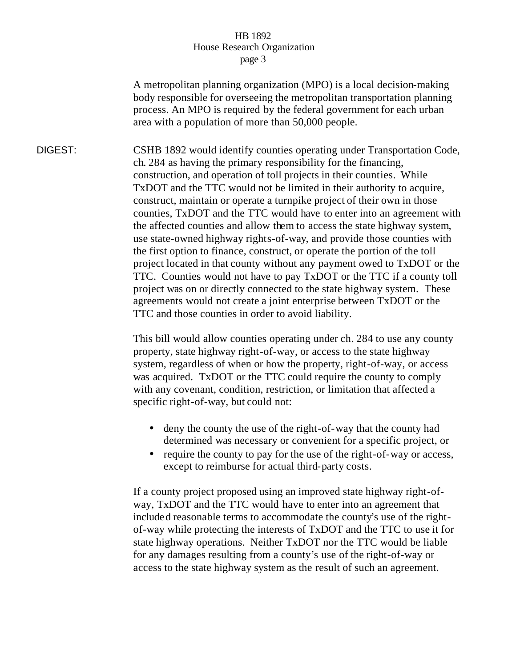A metropolitan planning organization (MPO) is a local decision-making body responsible for overseeing the metropolitan transportation planning process. An MPO is required by the federal government for each urban area with a population of more than 50,000 people.

DIGEST: CSHB 1892 would identify counties operating under Transportation Code, ch. 284 as having the primary responsibility for the financing, construction, and operation of toll projects in their counties. While TxDOT and the TTC would not be limited in their authority to acquire, construct, maintain or operate a turnpike project of their own in those counties, TxDOT and the TTC would have to enter into an agreement with the affected counties and allow them to access the state highway system, use state-owned highway rights-of-way, and provide those counties with the first option to finance, construct, or operate the portion of the toll project located in that county without any payment owed to TxDOT or the TTC. Counties would not have to pay TxDOT or the TTC if a county toll project was on or directly connected to the state highway system. These agreements would not create a joint enterprise between TxDOT or the TTC and those counties in order to avoid liability.

> This bill would allow counties operating under ch. 284 to use any county property, state highway right-of-way, or access to the state highway system, regardless of when or how the property, right-of-way, or access was acquired. TxDOT or the TTC could require the county to comply with any covenant, condition, restriction, or limitation that affected a specific right-of-way, but could not:

- deny the county the use of the right-of-way that the county had determined was necessary or convenient for a specific project, or
- require the county to pay for the use of the right-of-way or access, except to reimburse for actual third-party costs.

If a county project proposed using an improved state highway right-ofway, TxDOT and the TTC would have to enter into an agreement that included reasonable terms to accommodate the county's use of the rightof-way while protecting the interests of TxDOT and the TTC to use it for state highway operations. Neither TxDOT nor the TTC would be liable for any damages resulting from a county's use of the right-of-way or access to the state highway system as the result of such an agreement.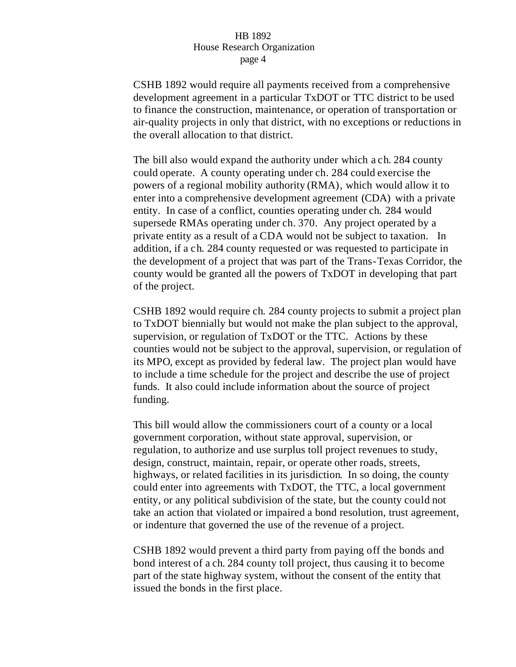CSHB 1892 would require all payments received from a comprehensive development agreement in a particular TxDOT or TTC district to be used to finance the construction, maintenance, or operation of transportation or air-quality projects in only that district, with no exceptions or reductions in the overall allocation to that district.

The bill also would expand the authority under which a ch. 284 county could operate. A county operating under ch. 284 could exercise the powers of a regional mobility authority (RMA), which would allow it to enter into a comprehensive development agreement (CDA) with a private entity. In case of a conflict, counties operating under ch. 284 would supersede RMAs operating under ch. 370. Any project operated by a private entity as a result of a CDA would not be subject to taxation. In addition, if a ch. 284 county requested or was requested to participate in the development of a project that was part of the Trans-Texas Corridor, the county would be granted all the powers of TxDOT in developing that part of the project.

CSHB 1892 would require ch. 284 county projects to submit a project plan to TxDOT biennially but would not make the plan subject to the approval, supervision, or regulation of TxDOT or the TTC. Actions by these counties would not be subject to the approval, supervision, or regulation of its MPO, except as provided by federal law. The project plan would have to include a time schedule for the project and describe the use of project funds. It also could include information about the source of project funding.

This bill would allow the commissioners court of a county or a local government corporation, without state approval, supervision, or regulation, to authorize and use surplus toll project revenues to study, design, construct, maintain, repair, or operate other roads, streets, highways, or related facilities in its jurisdiction. In so doing, the county could enter into agreements with TxDOT, the TTC, a local government entity, or any political subdivision of the state, but the county could not take an action that violated or impaired a bond resolution, trust agreement, or indenture that governed the use of the revenue of a project.

CSHB 1892 would prevent a third party from paying off the bonds and bond interest of a ch. 284 county toll project, thus causing it to become part of the state highway system, without the consent of the entity that issued the bonds in the first place.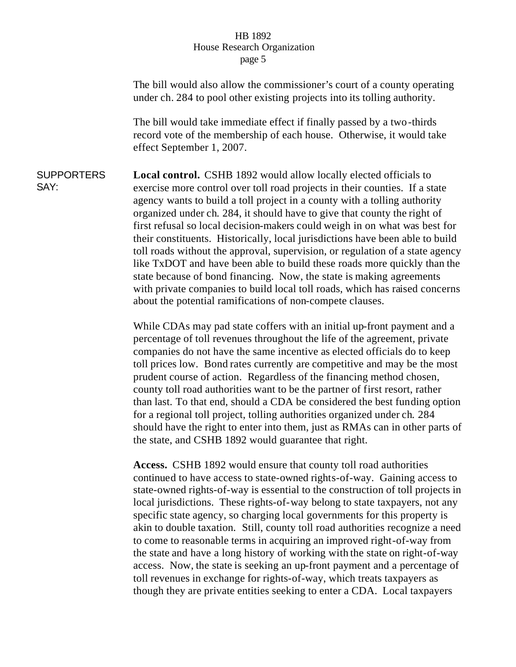The bill would also allow the commissioner's court of a county operating under ch. 284 to pool other existing projects into its tolling authority. The bill would take immediate effect if finally passed by a two-thirds record vote of the membership of each house. Otherwise, it would take effect September 1, 2007. **SUPPORTERS** SAY: **Local control.** CSHB 1892 would allow locally elected officials to exercise more control over toll road projects in their counties. If a state agency wants to build a toll project in a county with a tolling authority organized under ch. 284, it should have to give that county the right of first refusal so local decision-makers could weigh in on what was best for their constituents. Historically, local jurisdictions have been able to build toll roads without the approval, supervision, or regulation of a state agency like TxDOT and have been able to build these roads more quickly than the state because of bond financing. Now, the state is making agreements with private companies to build local toll roads, which has raised concerns about the potential ramifications of non-compete clauses. While CDAs may pad state coffers with an initial up-front payment and a percentage of toll revenues throughout the life of the agreement, private companies do not have the same incentive as elected officials do to keep toll prices low. Bond rates currently are competitive and may be the most prudent course of action. Regardless of the financing method chosen, county toll road authorities want to be the partner of first resort, rather than last. To that end, should a CDA be considered the best funding option for a regional toll project, tolling authorities organized under ch. 284 should have the right to enter into them, just as RMAs can in other parts of

the state, and CSHB 1892 would guarantee that right.

**Access.** CSHB 1892 would ensure that county toll road authorities continued to have access to state-owned rights-of-way. Gaining access to state-owned rights-of-way is essential to the construction of toll projects in local jurisdictions. These rights-of-way belong to state taxpayers, not any specific state agency, so charging local governments for this property is akin to double taxation. Still, county toll road authorities recognize a need to come to reasonable terms in acquiring an improved right-of-way from the state and have a long history of working with the state on right-of-way access. Now, the state is seeking an up-front payment and a percentage of toll revenues in exchange for rights-of-way, which treats taxpayers as though they are private entities seeking to enter a CDA. Local taxpayers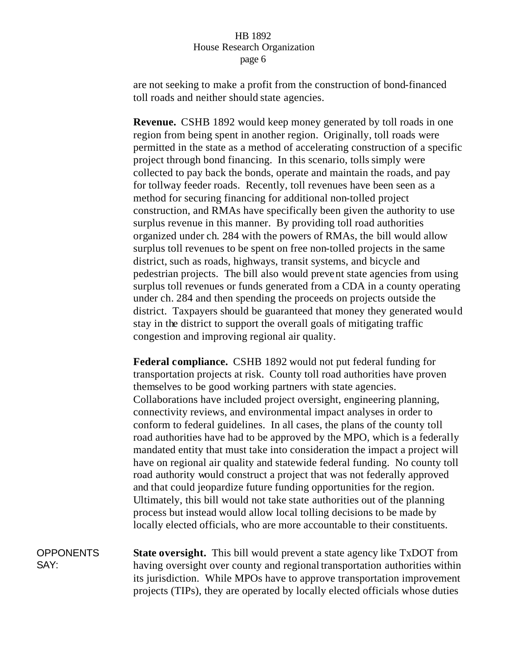are not seeking to make a profit from the construction of bond-financed toll roads and neither should state agencies.

**Revenue.** CSHB 1892 would keep money generated by toll roads in one region from being spent in another region. Originally, toll roads were permitted in the state as a method of accelerating construction of a specific project through bond financing. In this scenario, tolls simply were collected to pay back the bonds, operate and maintain the roads, and pay for tollway feeder roads. Recently, toll revenues have been seen as a method for securing financing for additional non-tolled project construction, and RMAs have specifically been given the authority to use surplus revenue in this manner. By providing toll road authorities organized under ch. 284 with the powers of RMAs, the bill would allow surplus toll revenues to be spent on free non-tolled projects in the same district, such as roads, highways, transit systems, and bicycle and pedestrian projects. The bill also would prevent state agencies from using surplus toll revenues or funds generated from a CDA in a county operating under ch. 284 and then spending the proceeds on projects outside the district. Taxpayers should be guaranteed that money they generated would stay in the district to support the overall goals of mitigating traffic congestion and improving regional air quality.

**Federal compliance.** CSHB 1892 would not put federal funding for transportation projects at risk. County toll road authorities have proven themselves to be good working partners with state agencies. Collaborations have included project oversight, engineering planning, connectivity reviews, and environmental impact analyses in order to conform to federal guidelines. In all cases, the plans of the county toll road authorities have had to be approved by the MPO, which is a federally mandated entity that must take into consideration the impact a project will have on regional air quality and statewide federal funding. No county toll road authority would construct a project that was not federally approved and that could jeopardize future funding opportunities for the region. Ultimately, this bill would not take state authorities out of the planning process but instead would allow local tolling decisions to be made by locally elected officials, who are more accountable to their constituents.

OPPONENTS SAY: **State oversight.** This bill would prevent a state agency like TxDOT from having oversight over county and regional transportation authorities within its jurisdiction. While MPOs have to approve transportation improvement projects (TIPs), they are operated by locally elected officials whose duties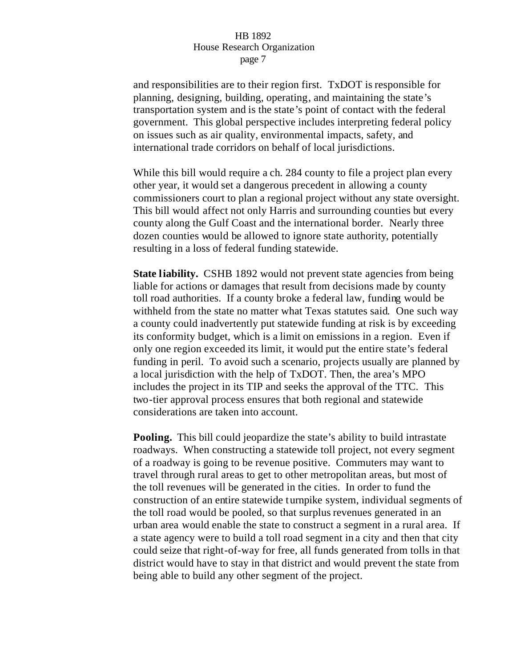and responsibilities are to their region first. TxDOT is responsible for planning, designing, building, operating, and maintaining the state's transportation system and is the state's point of contact with the federal government. This global perspective includes interpreting federal policy on issues such as air quality, environmental impacts, safety, and international trade corridors on behalf of local jurisdictions.

While this bill would require a ch. 284 county to file a project plan every other year, it would set a dangerous precedent in allowing a county commissioners court to plan a regional project without any state oversight. This bill would affect not only Harris and surrounding counties but every county along the Gulf Coast and the international border. Nearly three dozen counties would be allowed to ignore state authority, potentially resulting in a loss of federal funding statewide.

**State liability.** CSHB 1892 would not prevent state agencies from being liable for actions or damages that result from decisions made by county toll road authorities. If a county broke a federal law, funding would be withheld from the state no matter what Texas statutes said. One such way a county could inadvertently put statewide funding at risk is by exceeding its conformity budget, which is a limit on emissions in a region. Even if only one region exceeded its limit, it would put the entire state's federal funding in peril. To avoid such a scenario, projects usually are planned by a local jurisdiction with the help of TxDOT. Then, the area's MPO includes the project in its TIP and seeks the approval of the TTC. This two-tier approval process ensures that both regional and statewide considerations are taken into account.

**Pooling.** This bill could jeopardize the state's ability to build intrastate roadways. When constructing a statewide toll project, not every segment of a roadway is going to be revenue positive. Commuters may want to travel through rural areas to get to other metropolitan areas, but most of the toll revenues will be generated in the cities. In order to fund the construction of an entire statewide turnpike system, individual segments of the toll road would be pooled, so that surplus revenues generated in an urban area would enable the state to construct a segment in a rural area. If a state agency were to build a toll road segment in a city and then that city could seize that right-of-way for free, all funds generated from tolls in that district would have to stay in that district and would prevent the state from being able to build any other segment of the project.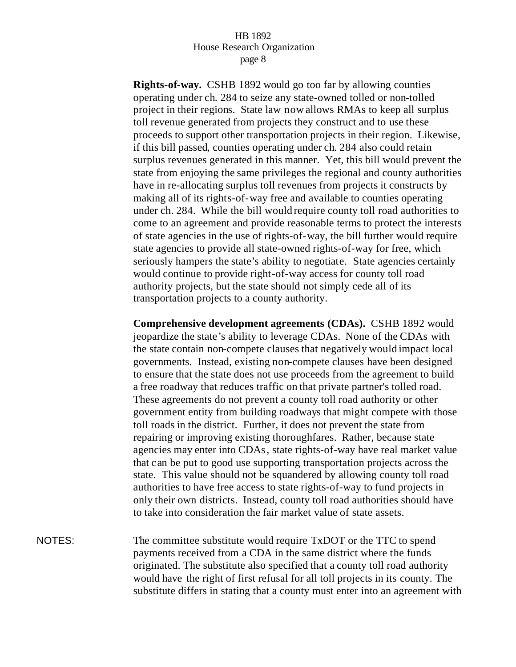**Rights-of-way.** CSHB 1892 would go too far by allowing counties operating under ch. 284 to seize any state-owned tolled or non-tolled project in their regions. State law now allows RMAs to keep all surplus toll revenue generated from projects they construct and to use these proceeds to support other transportation projects in their region. Likewise, if this bill passed, counties operating under ch. 284 also could retain surplus revenues generated in this manner. Yet, this bill would prevent the state from enjoying the same privileges the regional and county authorities have in re-allocating surplus toll revenues from projects it constructs by making all of its rights-of-way free and available to counties operating under ch. 284. While the bill would require county toll road authorities to come to an agreement and provide reasonable terms to protect the interests of state agencies in the use of rights-of-way, the bill further would require state agencies to provide all state-owned rights-of-way for free, which seriously hampers the state's ability to negotiate. State agencies certainly would continue to provide right-of-way access for county toll road authority projects, but the state should not simply cede all of its transportation projects to a county authority.

**Comprehensive development agreements (CDAs).** CSHB 1892 would jeopardize the state's ability to leverage CDAs. None of the CDAs with the state contain non-compete clauses that negatively would impact local governments. Instead, existing non-compete clauses have been designed to ensure that the state does not use proceeds from the agreement to build a free roadway that reduces traffic on that private partner's tolled road. These agreements do not prevent a county toll road authority or other government entity from building roadways that might compete with those toll roads in the district. Further, it does not prevent the state from repairing or improving existing thoroughfares. Rather, because state agencies may enter into CDAs, state rights-of-way have real market value that can be put to good use supporting transportation projects across the state. This value should not be squandered by allowing county toll road authorities to have free access to state rights-of-way to fund projects in only their own districts. Instead, county toll road authorities should have to take into consideration the fair market value of state assets.

NOTES: The committee substitute would require TxDOT or the TTC to spend payments received from a CDA in the same district where the funds originated. The substitute also specified that a county toll road authority would have the right of first refusal for all toll projects in its county. The substitute differs in stating that a county must enter into an agreement with